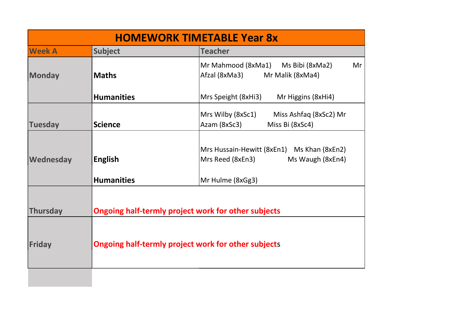| <b>HOMEWORK TIMETABLE Year 8x</b> |                                                                                                                          |                                                                                    |  |  |
|-----------------------------------|--------------------------------------------------------------------------------------------------------------------------|------------------------------------------------------------------------------------|--|--|
| <b>Week A</b>                     | <b>Subject</b>                                                                                                           | <b>Teacher</b>                                                                     |  |  |
| <b>Monday</b>                     | <b>Maths</b>                                                                                                             | Mr Mahmood (8xMa1)<br>Ms Bibi (8xMa2)<br>Mr<br>Afzal (8xMa3)<br>Mr Malik (8xMa4)   |  |  |
|                                   | <b>Humanities</b>                                                                                                        | Mrs Speight (8xHi3)<br>Mr Higgins (8xHi4)                                          |  |  |
| <b>Tuesday</b>                    | <b>Science</b>                                                                                                           | Mrs Wilby (8xSc1)<br>Miss Ashfaq (8xSc2) Mr<br>Azam (8xSc3)<br>Miss Bi (8xSc4)     |  |  |
| Wednesday                         | <b>English</b>                                                                                                           | Mrs Hussain-Hewitt (8xEn1) Ms Khan (8xEn2)<br>Mrs Reed (8xEn3)<br>Ms Waugh (8xEn4) |  |  |
|                                   | <b>Humanities</b>                                                                                                        | Mr Hulme (8xGg3)                                                                   |  |  |
| <b>Thursday</b><br><b>Friday</b>  | <b>Ongoing half-termly project work for other subjects</b><br><b>Ongoing half-termly project work for other subjects</b> |                                                                                    |  |  |
|                                   |                                                                                                                          |                                                                                    |  |  |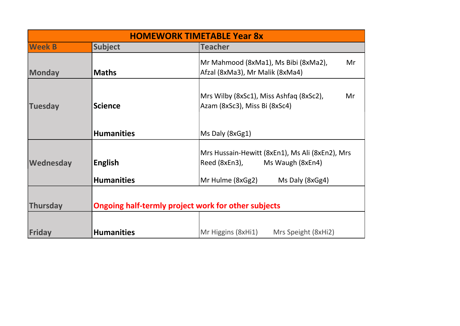| <b>HOMEWORK TIMETABLE Year 8x</b> |                                                            |                                                                                      |  |  |
|-----------------------------------|------------------------------------------------------------|--------------------------------------------------------------------------------------|--|--|
| <b>Week B</b>                     | <b>Subject</b>                                             | <b>Teacher</b>                                                                       |  |  |
| Monday                            | <b>Maths</b>                                               | Mr Mahmood (8xMa1), Ms Bibi (8xMa2),<br>Mr<br>Afzal (8xMa3), Mr Malik (8xMa4)        |  |  |
| <b>Tuesday</b>                    | <b>Science</b>                                             | Mrs Wilby (8xSc1), Miss Ashfaq (8xSc2),<br>Mr<br>Azam (8xSc3), Miss Bi (8xSc4)       |  |  |
|                                   | <b>Humanities</b>                                          | Ms Daly (8xGg1)                                                                      |  |  |
| Wednesday                         | English                                                    | Mrs Hussain-Hewitt (8xEn1), Ms Ali (8xEn2), Mrs<br>Reed (8xEn3),<br>Ms Waugh (8xEn4) |  |  |
|                                   | <b>Humanities</b>                                          | Mr Hulme (8xGg2)<br>Ms Daly (8xGg4)                                                  |  |  |
| Thursday                          | <b>Ongoing half-termly project work for other subjects</b> |                                                                                      |  |  |
| Friday                            | <b>Humanities</b>                                          | Mr Higgins (8xHi1)<br>Mrs Speight (8xHi2)                                            |  |  |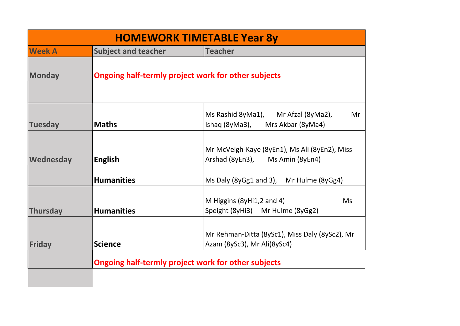| <b>HOMEWORK TIMETABLE Year 8y</b> |                                                     |                                                                                                                                             |  |
|-----------------------------------|-----------------------------------------------------|---------------------------------------------------------------------------------------------------------------------------------------------|--|
| <b>Week A</b>                     | <b>Subject and teacher</b>                          | <b>Teacher</b>                                                                                                                              |  |
| Monday                            | Ongoing half-termly project work for other subjects |                                                                                                                                             |  |
| <b>Tuesday</b>                    | <b>Maths</b>                                        | Ms Rashid 8yMa1),<br>Mr Afzal (8yMa2),<br>Mr<br>Ishaq (8yMa3),<br>Mrs Akbar (8yMa4)                                                         |  |
| Wednesday                         | <b>English</b><br><b>Humanities</b>                 | Mr McVeigh-Kaye (8yEn1), Ms Ali (8yEn2), Miss<br>Arshad (8yEn3), Ms Amin (8yEn4)<br>Ms Daly (8yGg1 and 3), Mr Hulme (8yGg4)                 |  |
| <b>Thursday</b>                   | <b>Humanities</b>                                   | M Higgins (8yHi1,2 and 4)<br><b>Ms</b><br>Speight (8yHi3) Mr Hulme (8yGg2)                                                                  |  |
| Friday                            | <b>Science</b>                                      | Mr Rehman-Ditta (8ySc1), Miss Daly (8ySc2), Mr<br>Azam (8ySc3), Mr Ali(8ySc4)<br><b>Ongoing half-termly project work for other subjects</b> |  |
|                                   |                                                     |                                                                                                                                             |  |